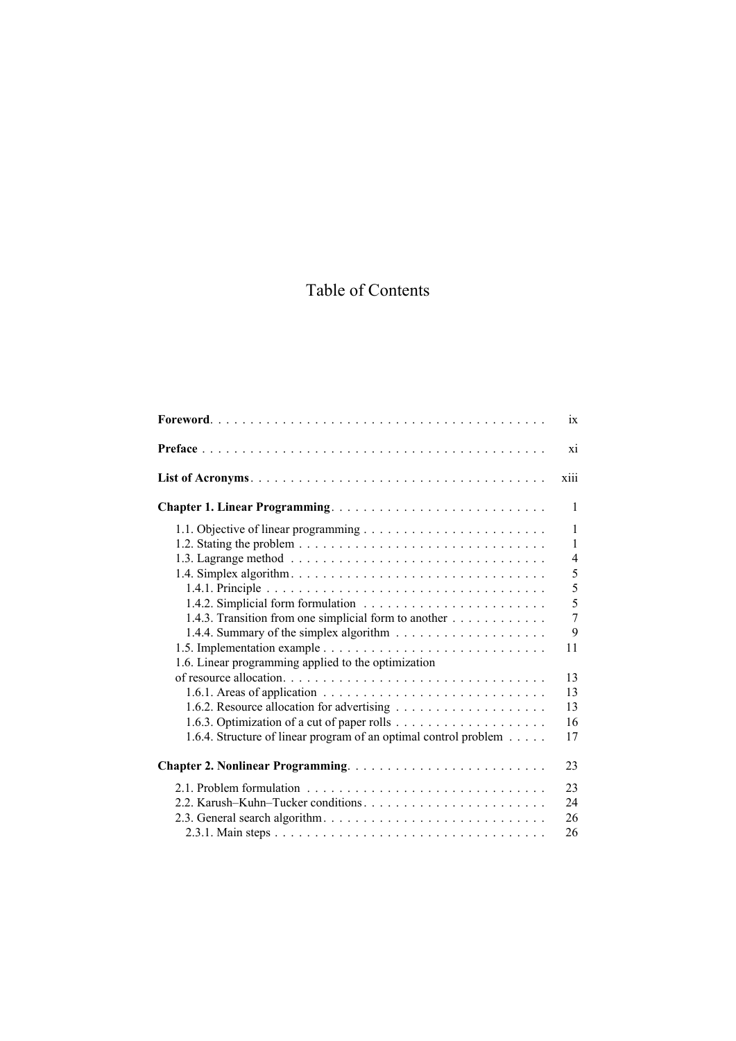## Table of Contents

|                                                                                   | $\overline{1}X$          |
|-----------------------------------------------------------------------------------|--------------------------|
|                                                                                   | X1                       |
|                                                                                   | xiii                     |
| Chapter 1. Linear Programming                                                     | 1                        |
|                                                                                   | 1<br>1<br>$\overline{4}$ |
|                                                                                   | 5<br>5<br>5              |
| 1.4.3. Transition from one simplicial form to another                             | $\overline{7}$<br>9      |
| 1.6. Linear programming applied to the optimization                               | 11                       |
|                                                                                   | 13<br>13                 |
| 1.6.3. Optimization of a cut of paper rolls $\dots \dots \dots \dots \dots \dots$ | 13<br>16                 |
| 1.6.4. Structure of linear program of an optimal control problem                  | 17                       |
|                                                                                   | 23                       |
|                                                                                   | 23<br>24<br>26<br>26     |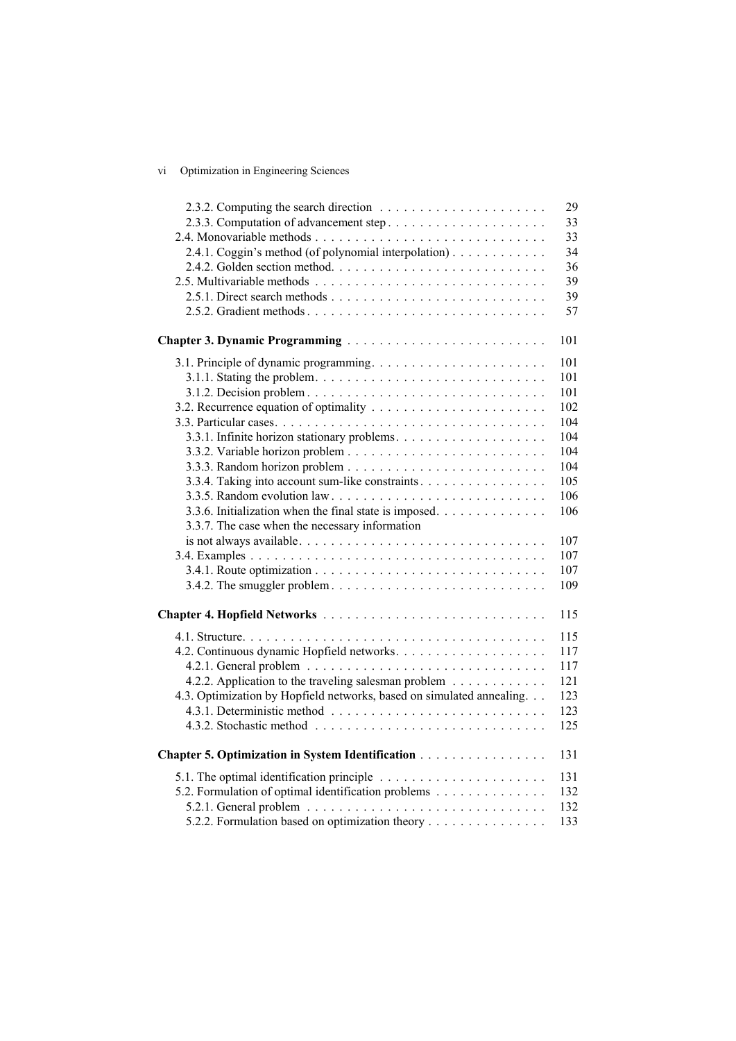## vi Optimization in Engineering Sciences

|                                                                       | 29  |
|-----------------------------------------------------------------------|-----|
|                                                                       | 33  |
|                                                                       | 33  |
| 2.4.1. Coggin's method (of polynomial interpolation)                  | 34  |
|                                                                       | 36  |
|                                                                       | 39  |
|                                                                       | 39  |
| 2.5.2. Gradient methods                                               | 57  |
|                                                                       |     |
|                                                                       | 101 |
|                                                                       | 101 |
|                                                                       | 101 |
|                                                                       | 101 |
|                                                                       | 102 |
|                                                                       | 104 |
|                                                                       | 104 |
|                                                                       | 104 |
|                                                                       | 104 |
|                                                                       |     |
| 3.3.4. Taking into account sum-like constraints                       | 105 |
|                                                                       | 106 |
| 3.3.6. Initialization when the final state is imposed.                | 106 |
| 3.3.7. The case when the necessary information                        |     |
|                                                                       | 107 |
|                                                                       | 107 |
|                                                                       | 107 |
|                                                                       | 109 |
|                                                                       |     |
|                                                                       | 115 |
|                                                                       | 115 |
|                                                                       | 117 |
|                                                                       | 117 |
| 4.2.2. Application to the traveling salesman problem                  | 121 |
| 4.3. Optimization by Hopfield networks, based on simulated annealing. | 123 |
|                                                                       | 123 |
|                                                                       | 125 |
|                                                                       |     |
| Chapter 5. Optimization in System Identification                      | 131 |
|                                                                       | 131 |
| 5.2. Formulation of optimal identification problems                   | 132 |
|                                                                       | 132 |
| 5.2.2. Formulation based on optimization theory                       | 133 |
|                                                                       |     |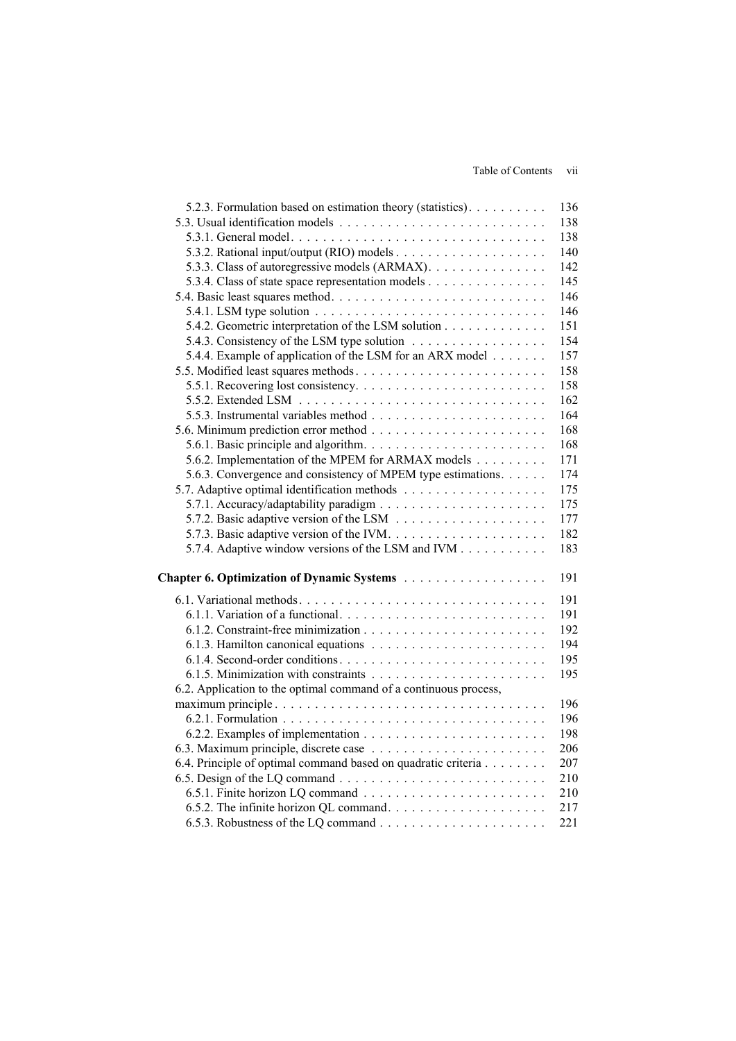| 5.2.3. Formulation based on estimation theory (statistics).                               | 136 |
|-------------------------------------------------------------------------------------------|-----|
|                                                                                           | 138 |
|                                                                                           | 138 |
|                                                                                           | 140 |
| 5.3.3. Class of autoregressive models (ARMAX).                                            | 142 |
| 5.3.4. Class of state space representation models                                         | 145 |
|                                                                                           | 146 |
| 5.4.1. LSM type solution $\ldots \ldots \ldots \ldots \ldots \ldots \ldots \ldots \ldots$ | 146 |
| 5.4.2. Geometric interpretation of the LSM solution                                       | 151 |
|                                                                                           | 154 |
| 5.4.4. Example of application of the LSM for an ARX model                                 | 157 |
| 5.5. Modified least squares methods                                                       | 158 |
|                                                                                           | 158 |
|                                                                                           |     |
|                                                                                           | 162 |
|                                                                                           | 164 |
|                                                                                           | 168 |
|                                                                                           | 168 |
| 5.6.2. Implementation of the MPEM for ARMAX models                                        | 171 |
| 5.6.3. Convergence and consistency of MPEM type estimations.                              | 174 |
|                                                                                           | 175 |
|                                                                                           | 175 |
|                                                                                           | 177 |
|                                                                                           | 182 |
| 5.7.4. Adaptive window versions of the LSM and IVM                                        | 183 |
|                                                                                           | 191 |
|                                                                                           |     |
| 6.1. Variational methods                                                                  | 191 |
|                                                                                           | 191 |
|                                                                                           | 192 |
|                                                                                           | 194 |
|                                                                                           | 195 |
|                                                                                           | 195 |
| 6.2. Application to the optimal command of a continuous process,                          |     |
|                                                                                           | 196 |
|                                                                                           | 196 |
|                                                                                           | 198 |
|                                                                                           | 206 |
| 6.4. Principle of optimal command based on quadratic criteria                             | 207 |
|                                                                                           | 210 |
|                                                                                           | 210 |
|                                                                                           | 217 |
|                                                                                           | 221 |